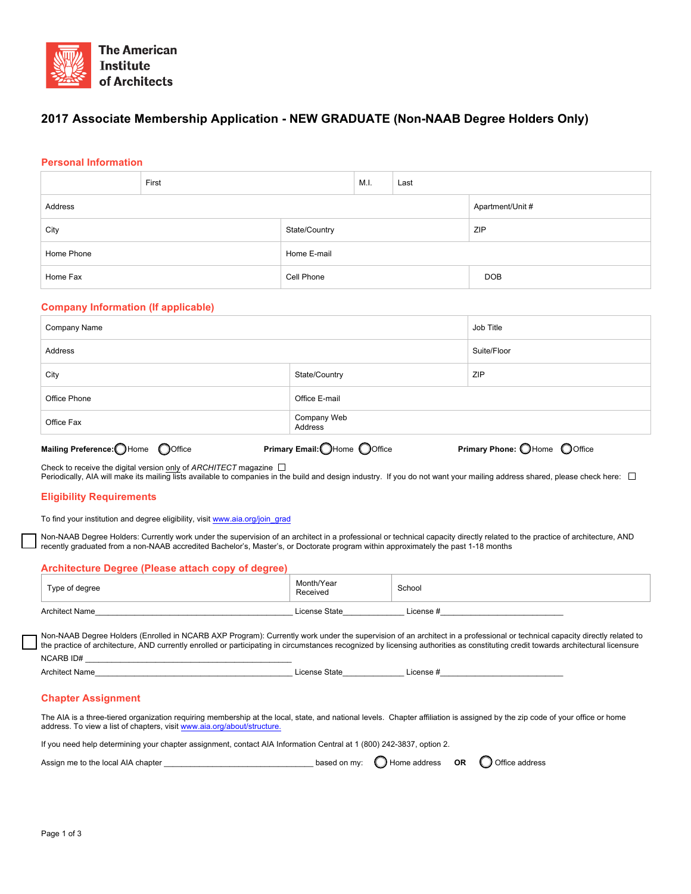

# **2017 Associate Membership Application - NEW GRADUATE (Non-NAAB Degree Holders Only)**

### **Personal Information**

|            | First |               | M.I. | Last |                  |
|------------|-------|---------------|------|------|------------------|
| Address    |       |               |      |      | Apartment/Unit # |
| City       |       | State/Country |      |      | <b>ZIP</b>       |
| Home Phone |       | Home E-mail   |      |      |                  |
| Home Fax   |       | Cell Phone    |      |      | <b>DOB</b>       |

#### **Company Information (If applicable)**

| Company Name | Job Title                                                  |             |
|--------------|------------------------------------------------------------|-------------|
| Address      |                                                            | Suite/Floor |
| City         | State/Country                                              | ZIP         |
| Office Phone | Office E-mail                                              |             |
| Office Fax   | Company Web<br>Address                                     |             |
|              | $\sim$ $\sim$ $\sim$ $\sim$ $\sim$ $\sim$ $\sim$<br>$\sim$ |             |

**Mailing Preference:** Home Office **Primary Email: Phone Office Primary Phone:** OHome Office

Check to receive the digital version only of *ARCHITECT* magazine

Periodically, AIA will make its mailing lists available to companies in the build and design industry. If you do not want your mailing address shared, please check here:  $\Box$ 

### **Eligibility Requirements**

To find your institution and degree eligibility, visit www.aia.org/join\_grad

Non-NAAB Degree Holders: Currently work under the supervision of an architect in a professional or technical capacity directly related to the practice of architecture, AND recently graduated from a non-NAAB accredited Bachelor's, Master's, or Doctorate program within approximately the past 1-18 months

### **Architecture Degree (Please attach copy of degree)**

| Type of degree        | Month/Year<br>Received | School    |
|-----------------------|------------------------|-----------|
| <b>Architect Name</b> | License State          | License # |

Non-NAAB Degree Holders (Enrolled in NCARB AXP Program): Currently work under the supervision of an architect in a professional or technical capacity directly related to the practice of architecture, AND currently enrolled or participating in circumstances recognized by licensing authorities as constituting credit towards architectural licensure NCARB ID# \_\_\_\_\_\_\_\_\_\_\_\_\_\_\_\_\_\_\_\_\_\_\_\_\_\_\_\_\_\_\_\_\_\_\_\_\_\_\_\_\_\_\_\_\_\_\_

Architect Name\_\_\_\_\_\_\_\_\_\_\_\_\_\_\_\_\_\_\_\_\_\_\_\_\_\_\_\_\_\_\_\_\_\_\_\_\_\_\_\_\_\_\_\_\_ License State\_\_\_\_\_\_\_\_\_\_\_\_\_\_ License #\_\_\_\_\_\_\_\_\_\_\_\_\_\_\_\_\_\_\_\_\_\_\_\_\_\_\_\_

## **Chapter Assignment**

The AIA is a three-tiered organization requiring membership at the local, state, and national levels. Chapter affiliation is assigned by the zip code of your office or home address. To view a list of chapters, visit www.aia.org/about/structure.

If you need help determining your chapter assignment, contact AIA Information Central at 1 (800) 242-3837, option 2.

Assign me to the local AIA chapter \_\_\_\_\_\_\_\_\_\_\_\_\_\_\_\_\_\_\_\_\_\_\_\_\_\_\_\_\_\_\_\_\_\_ based on my: Home address **OR** Office address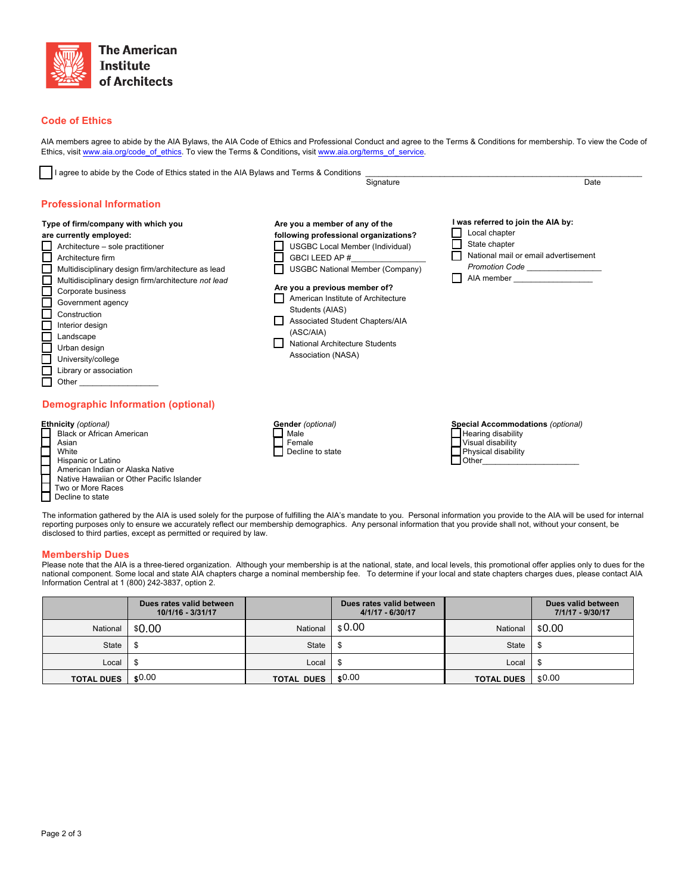

### **Code of Ethics**

r

AIA members agree to abide by the AIA Bylaws, the AIA Code of Ethics and Professional Conduct and agree to the Terms & Conditions for membership. To view the Code of Ethics, visit www.aia.org/code\_of\_ethics. To view the Terms & Conditions**,** visit www.aia.org/terms\_of\_service.

| I agree to abide by the Code of Ethics stated in the AIA Bylaws and Terms & Conditions                                                                                                                                                                                                                                             | Signature                                                                                                                                                                                                                                                                                                  | Date                                                                                                                                                                                                                                                                                                                                                                              |
|------------------------------------------------------------------------------------------------------------------------------------------------------------------------------------------------------------------------------------------------------------------------------------------------------------------------------------|------------------------------------------------------------------------------------------------------------------------------------------------------------------------------------------------------------------------------------------------------------------------------------------------------------|-----------------------------------------------------------------------------------------------------------------------------------------------------------------------------------------------------------------------------------------------------------------------------------------------------------------------------------------------------------------------------------|
| <b>Professional Information</b><br>Type of firm/company with which you<br>are currently employed:<br>Architecture - sole practitioner<br>Architecture firm<br>Multidisciplinary design firm/architecture as lead<br>Multidisciplinary design firm/architecture not lead<br>Corporate business<br>Government agency<br>Construction | Are you a member of any of the<br>following professional organizations?<br><b>USGBC Local Member (Individual)</b><br>GBCI LEED AP #<br><b>USGBC National Member (Company)</b><br>Are you a previous member of?<br>American Institute of Architecture<br>Students (AIAS)<br>Associated Student Chapters/AIA | I was referred to join the AIA by:<br>Local chapter<br>State chapter<br>National mail or email advertisement<br>Promotion Code ________________<br>AIA member and the state of the state of the state of the state of the state of the state of the state of the state of the state of the state of the state of the state of the state of the state of the state of the state of |
| Interior design<br>Landscape<br>Urban design<br>University/college<br>Library or association<br>Other<br>Demographic Information (optional)                                                                                                                                                                                        | (ASC/AIA)<br>National Architecture Students<br>Association (NASA)                                                                                                                                                                                                                                          |                                                                                                                                                                                                                                                                                                                                                                                   |
| <b>Ethnicity</b> (optional)                                                                                                                                                                                                                                                                                                        | Gender (optional)                                                                                                                                                                                                                                                                                          | Special Accommodations (optional)                                                                                                                                                                                                                                                                                                                                                 |

#### **Ethnicity** *(optional)*

| $1.91.1$ , $9.91.91.01$                   |
|-------------------------------------------|
| <b>Black or African American</b>          |
| Asian                                     |
| White                                     |
| Hispanic or Latino                        |
| American Indian or Alaska Native          |
| Native Hawaiian or Other Pacific Islander |
| Two or More Races                         |
| Decline to state                          |
|                                           |

The information gathered by the AIA is used solely for the purpose of fulfilling the AIA's mandate to you. Personal information you provide to the AIA will be used for internal reporting purposes only to ensure we accurately reflect our membership demographics. Any personal information that you provide shall not, without your consent, be disclosed to third parties, except as permitted or required by law.

Hearing disability Visual disability Physical disability

 $\Box$  Other\_

 Male Female

Decline to state

#### **Membership Dues**

Please note that the AIA is a three-tiered organization. Although your membership is at the national, state, and local levels, this promotional offer applies only to dues for the<br>national component. Some local and state A Information Central at 1 (800) 242-3837, option 2.

|                   | Dues rates valid between<br>10/1/16 - 3/31/17 |                   | Dues rates valid between<br>$4/1/17 - 6/30/17$ |                   | Dues valid between<br>7/1/17 - 9/30/17 |
|-------------------|-----------------------------------------------|-------------------|------------------------------------------------|-------------------|----------------------------------------|
| National          | \$0.00                                        | National          | \$0.00                                         | National          | \$0.00                                 |
| <b>State</b>      |                                               | <b>State</b>      |                                                | <b>State</b>      |                                        |
| Local             |                                               | Local             |                                                | Local             |                                        |
| <b>TOTAL DUES</b> | \$0.00                                        | <b>TOTAL DUES</b> | \$0.00                                         | <b>TOTAL DUES</b> | \$0.00                                 |